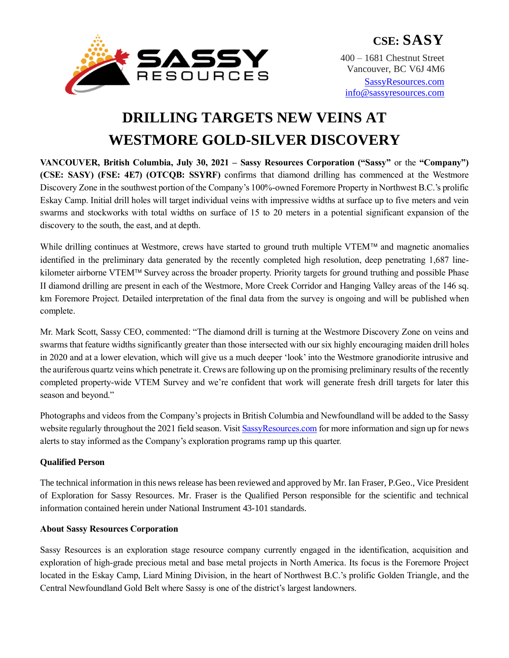

**CSE: SASY** 400 – 1681 Chestnut Street Vancouver, BC V6J 4M6

[SassyResources.com](http://www.sassyresources.ca/) [info@sassyresources.com](mailto:info@sassyresources.com)

# **DRILLING TARGETS NEW VEINS AT WESTMORE GOLD-SILVER DISCOVERY**

**VANCOUVER, British Columbia, July 30, 2021 – Sassy Resources Corporation ("Sassy"** or the **"Company") (CSE: SASY) (FSE: 4E7) (OTCQB: SSYRF)** confirms that diamond drilling has commenced at the Westmore Discovery Zone in the southwest portion of the Company's 100%-owned Foremore Property in Northwest B.C.'s prolific Eskay Camp. Initial drill holes will target individual veins with impressive widths at surface up to five meters and vein swarms and stockworks with total widths on surface of 15 to 20 meters in a potential significant expansion of the discovery to the south, the east, and at depth.

While drilling continues at Westmore, crews have started to ground truth multiple VTEM™ and magnetic anomalies identified in the preliminary data generated by the recently completed high resolution, deep penetrating 1,687 linekilometer airborne VTEM™ Survey across the broader property. Priority targets for ground truthing and possible Phase II diamond drilling are present in each of the Westmore, More Creek Corridor and Hanging Valley areas of the 146 sq. km Foremore Project. Detailed interpretation of the final data from the survey is ongoing and will be published when complete.

Mr. Mark Scott, Sassy CEO, commented: "The diamond drill is turning at the Westmore Discovery Zone on veins and swarms that feature widths significantly greater than those intersected with our six highly encouraging maiden drill holes in 2020 and at a lower elevation, which will give us a much deeper 'look' into the Westmore granodiorite intrusive and the auriferous quartz veins which penetrate it. Crews are following up on the promising preliminary results of the recently completed property-wide VTEM Survey and we're confident that work will generate fresh drill targets for later this season and beyond."

Photographs and videos from the Company's projects in British Columbia and Newfoundland will be added to the Sassy website regularly throughout the 2021 field season. Visi[t SassyResources.com](https://sassyresources.com/) for more information and sign up for news alerts to stay informed as the Company's exploration programs ramp up this quarter.

# **Qualified Person**

The technical information in this news release has been reviewed and approved by Mr. Ian Fraser, P.Geo., Vice President of Exploration for Sassy Resources. Mr. Fraser is the Qualified Person responsible for the scientific and technical information contained herein under National Instrument 43-101 standards.

# **About Sassy Resources Corporation**

Sassy Resources is an exploration stage resource company currently engaged in the identification, acquisition and exploration of high-grade precious metal and base metal projects in North America. Its focus is the Foremore Project located in the Eskay Camp, Liard Mining Division, in the heart of Northwest B.C.'s prolific Golden Triangle, and the Central Newfoundland Gold Belt where Sassy is one of the district's largest landowners.